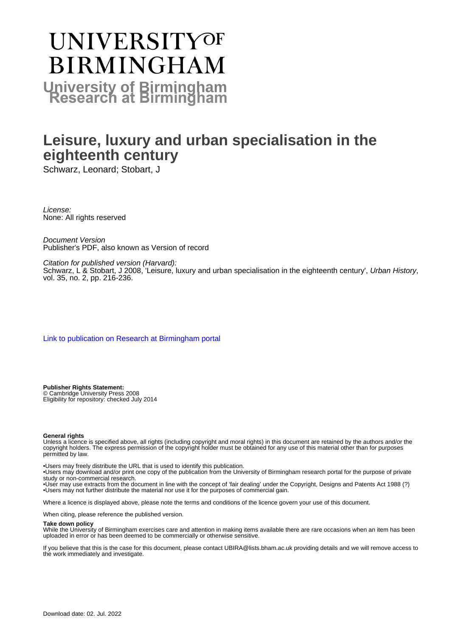# **UNIVERSITYOF BIRMINGHAM University of Birmingham**

# **Leisure, luxury and urban specialisation in the eighteenth century**

Schwarz, Leonard; Stobart, J

License: None: All rights reserved

Document Version Publisher's PDF, also known as Version of record

Citation for published version (Harvard): Schwarz, L'& Stobart, J 2008, 'Leisure, luxury and urban specialisation in the eighteenth century', Urban History, vol. 35, no. 2, pp. 216-236.

[Link to publication on Research at Birmingham portal](https://birmingham.elsevierpure.com/en/publications/7a2934c7-be0a-461d-beca-a4abe868d67a)

**Publisher Rights Statement:** © Cambridge University Press 2008 Eligibility for repository: checked July 2014

### **General rights**

Unless a licence is specified above, all rights (including copyright and moral rights) in this document are retained by the authors and/or the copyright holders. The express permission of the copyright holder must be obtained for any use of this material other than for purposes permitted by law.

• Users may freely distribute the URL that is used to identify this publication.

• Users may download and/or print one copy of the publication from the University of Birmingham research portal for the purpose of private study or non-commercial research.

• User may use extracts from the document in line with the concept of 'fair dealing' under the Copyright, Designs and Patents Act 1988 (?) • Users may not further distribute the material nor use it for the purposes of commercial gain.

Where a licence is displayed above, please note the terms and conditions of the licence govern your use of this document.

When citing, please reference the published version.

### **Take down policy**

While the University of Birmingham exercises care and attention in making items available there are rare occasions when an item has been uploaded in error or has been deemed to be commercially or otherwise sensitive.

If you believe that this is the case for this document, please contact UBIRA@lists.bham.ac.uk providing details and we will remove access to the work immediately and investigate.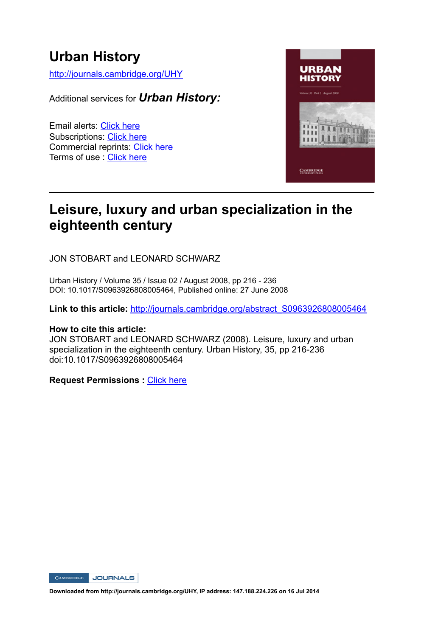### **Urban History**

http://journals.cambridge.org/UHY

Additional services for *Urban History:*

Email alerts: Click here Subscriptions: Click here Commercial reprints: Click here Terms of use : Click here



### **Leisure, luxury and urban specialization in the eighteenth century**

JON STOBART and LEONARD SCHWARZ

Urban History / Volume 35 / Issue 02 / August 2008, pp 216 - 236 DOI: 10.1017/S0963926808005464, Published online: 27 June 2008

**Link to this article:** http://journals.cambridge.org/abstract\_S0963926808005464

### **How to cite this article:**

JON STOBART and LEONARD SCHWARZ (2008). Leisure, luxury and urban specialization in the eighteenth century. Urban History, 35, pp 216-236 doi:10.1017/S0963926808005464

**Request Permissions :** Click here

CAMBRIDGE JOURNALS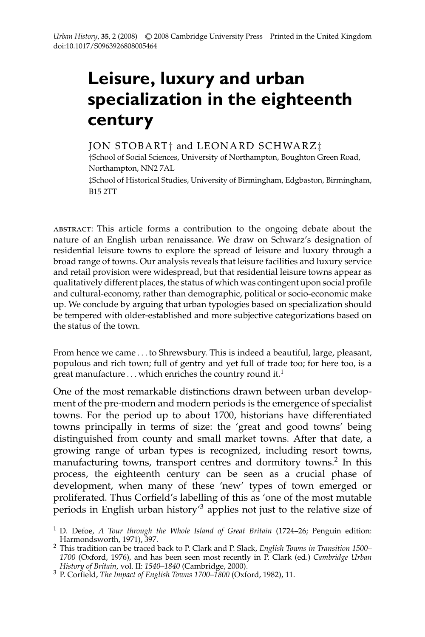# **Leisure, luxury and urban specialization in the eighteenth century**

JON STOBART<sup>†</sup> and LEONARD SCHWARZ<sup>†</sup>

†School of Social Sciences, University of Northampton, Boughton Green Road, Northampton, NN2 7AL

‡School of Historical Studies, University of Birmingham, Edgbaston, Birmingham, B15 2TT

abstract: This article forms a contribution to the ongoing debate about the nature of an English urban renaissance. We draw on Schwarz's designation of residential leisure towns to explore the spread of leisure and luxury through a broad range of towns. Our analysis reveals that leisure facilities and luxury service and retail provision were widespread, but that residential leisure towns appear as qualitatively different places, the status of which was contingent upon social profile and cultural-economy, rather than demographic, political or socio-economic make up. We conclude by arguing that urban typologies based on specialization should be tempered with older-established and more subjective categorizations based on the status of the town.

From hence we came ... to Shrewsbury. This is indeed a beautiful, large, pleasant, populous and rich town; full of gentry and yet full of trade too; for here too, is a great manufacture  $\dots$  which enriches the country round it.<sup>1</sup>

One of the most remarkable distinctions drawn between urban development of the pre-modern and modern periods is the emergence of specialist towns. For the period up to about 1700, historians have differentiated towns principally in terms of size: the 'great and good towns' being distinguished from county and small market towns. After that date, a growing range of urban types is recognized, including resort towns, manufacturing towns, transport centres and dormitory towns.<sup>2</sup> In this process, the eighteenth century can be seen as a crucial phase of development, when many of these 'new' types of town emerged or proliferated. Thus Corfield's labelling of this as 'one of the most mutable periods in English urban history'3 applies not just to the relative size of

<sup>1</sup> D. Defoe, *A Tour through the Whole Island of Great Britain* (1724–26; Penguin edition:

<sup>&</sup>lt;sup>2</sup> This tradition can be traced back to P. Clark and P. Slack, *English Towns in Transition 1500*-*1700* (Oxford, 1976), and has been seen most recently in P. Clark (ed.) *Cambridge Urban History of Britain*, vol. II: *1540–1840* (Cambridge, 2000). <sup>3</sup> P. Corfield, *The Impact of English Towns 1700–1800* (Oxford, 1982), 11.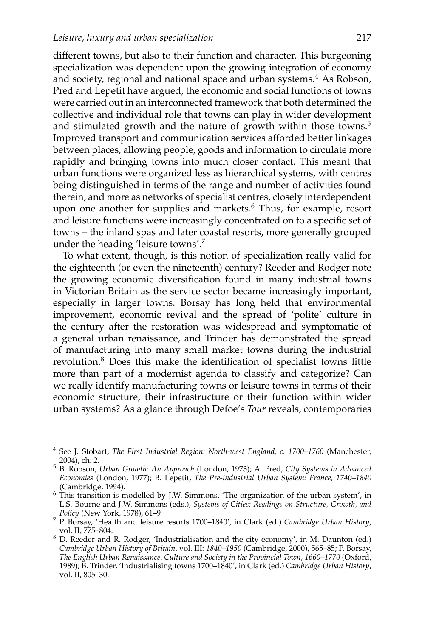different towns, but also to their function and character. This burgeoning specialization was dependent upon the growing integration of economy and society, regional and national space and urban systems.<sup>4</sup> As Robson, Pred and Lepetit have argued, the economic and social functions of towns were carried out in an interconnected framework that both determined the collective and individual role that towns can play in wider development and stimulated growth and the nature of growth within those towns.<sup>5</sup> Improved transport and communication services afforded better linkages between places, allowing people, goods and information to circulate more rapidly and bringing towns into much closer contact. This meant that urban functions were organized less as hierarchical systems, with centres being distinguished in terms of the range and number of activities found therein, and more as networks of specialist centres, closely interdependent upon one another for supplies and markets.<sup>6</sup> Thus, for example, resort and leisure functions were increasingly concentrated on to a specific set of towns – the inland spas and later coastal resorts, more generally grouped under the heading 'leisure towns'.<sup>7</sup>

To what extent, though, is this notion of specialization really valid for the eighteenth (or even the nineteenth) century? Reeder and Rodger note the growing economic diversification found in many industrial towns in Victorian Britain as the service sector became increasingly important, especially in larger towns. Borsay has long held that environmental improvement, economic revival and the spread of 'polite' culture in the century after the restoration was widespread and symptomatic of a general urban renaissance, and Trinder has demonstrated the spread of manufacturing into many small market towns during the industrial revolution.8 Does this make the identification of specialist towns little more than part of a modernist agenda to classify and categorize? Can we really identify manufacturing towns or leisure towns in terms of their economic structure, their infrastructure or their function within wider urban systems? As a glance through Defoe's *Tour* reveals, contemporaries

<sup>4</sup> See J. Stobart, *The First Industrial Region: North-west England, c. 1700–1760* (Manchester,

<sup>2004),</sup> ch. 2. <sup>5</sup> B. Robson, *Urban Growth: An Approach* (London, 1973); A. Pred, *City Systems in Advanced Economies* (London, 1977); B. Lepetit, *The Pre-industrial Urban System: France, 1740–1840*

<sup>&</sup>lt;sup>6</sup> This transition is modelled by J.W. Simmons, 'The organization of the urban system', in L.S. Bourne and J.W. Simmons (eds.), *Systems of Cities: Readings on Structure, Growth, and*

*P* P. Borsay, 'Health and leisure resorts 1700–1840', in Clark (ed.) *Cambridge Urban History*, vol. II, 775–804.

vol. II, 775–804.<br><sup>8</sup> D. Reeder and R. Rodger, 'Industrialisation and the city economy', in M. Daunton (ed.) *Cambridge Urban History of Britain*, vol. III: *1840–1950* (Cambridge, 2000), 565–85; P. Borsay, *The English Urban Renaissance*. *Culture and Society in the Provincial Town, 1660–1770* (Oxford, 1989); B. Trinder, 'Industrialising towns 1700–1840', in Clark (ed.) *Cambridge Urban History*, vol. II, 805–30.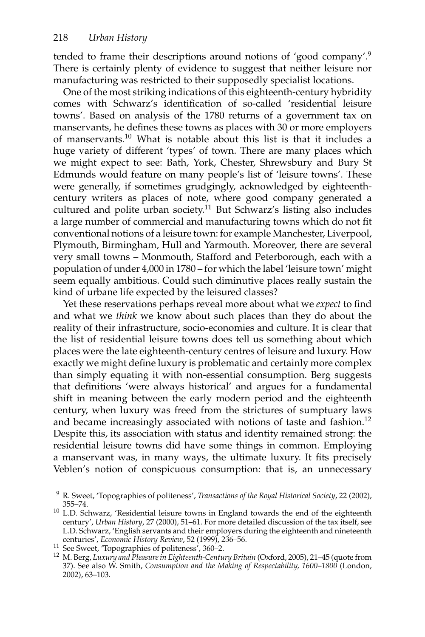tended to frame their descriptions around notions of 'good company'.9 There is certainly plenty of evidence to suggest that neither leisure nor manufacturing was restricted to their supposedly specialist locations.

One of the most striking indications of this eighteenth-century hybridity comes with Schwarz's identification of so-called 'residential leisure towns'. Based on analysis of the 1780 returns of a government tax on manservants, he defines these towns as places with 30 or more employers of manservants.<sup>10</sup> What is notable about this list is that it includes a huge variety of different 'types' of town. There are many places which we might expect to see: Bath, York, Chester, Shrewsbury and Bury St Edmunds would feature on many people's list of 'leisure towns'. These were generally, if sometimes grudgingly, acknowledged by eighteenthcentury writers as places of note, where good company generated a cultured and polite urban society.<sup>11</sup> But Schwarz's listing also includes a large number of commercial and manufacturing towns which do not fit conventional notions of a leisure town: for example Manchester, Liverpool, Plymouth, Birmingham, Hull and Yarmouth. Moreover, there are several very small towns – Monmouth, Stafford and Peterborough, each with a population of under 4,000 in 1780 – for which the label 'leisure town' might seem equally ambitious. Could such diminutive places really sustain the kind of urbane life expected by the leisured classes?

Yet these reservations perhaps reveal more about what we *expect* to find and what we *think* we know about such places than they do about the reality of their infrastructure, socio-economies and culture. It is clear that the list of residential leisure towns does tell us something about which places were the late eighteenth-century centres of leisure and luxury. How exactly we might define luxury is problematic and certainly more complex than simply equating it with non-essential consumption. Berg suggests that definitions 'were always historical' and argues for a fundamental shift in meaning between the early modern period and the eighteenth century, when luxury was freed from the strictures of sumptuary laws and became increasingly associated with notions of taste and fashion.<sup>12</sup> Despite this, its association with status and identity remained strong: the residential leisure towns did have some things in common. Employing a manservant was, in many ways, the ultimate luxury. It fits precisely Veblen's notion of conspicuous consumption: that is, an unnecessary

<sup>9</sup> R. Sweet, 'Topographies of politeness', *Transactions of the Royal Historical Society*, 22 (2002),

 $10$  L.D. Schwarz, 'Residential leisure towns in England towards the end of the eighteenth century', *Urban History*, 27 (2000), 51–61. For more detailed discussion of the tax itself, see L.D. Schwarz, 'English servants and their employers during the eighteenth and nineteenth centuries', Economic History Review, 52 (1999), 236-56.

centuries', *Economic History Review*, 52 (1999), 236–56. <sup>11</sup> See Sweet, 'Topographies of politeness', 360–2. <sup>12</sup> M. Berg, *Luxury and Pleasure in Eighteenth-Century Britain* (Oxford, 2005), 21–45 (quote from 37). See also W. Smith, *Consumption and the Making of Respectability, 1600–1800* (London, 2002), 63–103.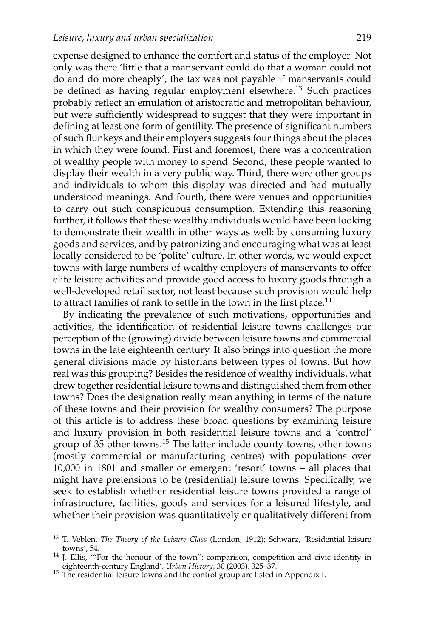expense designed to enhance the comfort and status of the employer. Not only was there 'little that a manservant could do that a woman could not do and do more cheaply', the tax was not payable if manservants could be defined as having regular employment elsewhere.<sup>13</sup> Such practices probably reflect an emulation of aristocratic and metropolitan behaviour, but were sufficiently widespread to suggest that they were important in defining at least one form of gentility. The presence of significant numbers of such flunkeys and their employers suggests four things about the places in which they were found. First and foremost, there was a concentration of wealthy people with money to spend. Second, these people wanted to display their wealth in a very public way. Third, there were other groups and individuals to whom this display was directed and had mutually understood meanings. And fourth, there were venues and opportunities to carry out such conspicuous consumption. Extending this reasoning further, it follows that these wealthy individuals would have been looking to demonstrate their wealth in other ways as well: by consuming luxury goods and services, and by patronizing and encouraging what was at least locally considered to be 'polite' culture. In other words, we would expect towns with large numbers of wealthy employers of manservants to offer elite leisure activities and provide good access to luxury goods through a well-developed retail sector, not least because such provision would help to attract families of rank to settle in the town in the first place.<sup>14</sup>

By indicating the prevalence of such motivations, opportunities and activities, the identification of residential leisure towns challenges our perception of the (growing) divide between leisure towns and commercial towns in the late eighteenth century. It also brings into question the more general divisions made by historians between types of towns. But how real was this grouping? Besides the residence of wealthy individuals, what drew together residential leisure towns and distinguished them from other towns? Does the designation really mean anything in terms of the nature of these towns and their provision for wealthy consumers? The purpose of this article is to address these broad questions by examining leisure and luxury provision in both residential leisure towns and a 'control' group of 35 other towns.<sup>15</sup> The latter include county towns, other towns (mostly commercial or manufacturing centres) with populations over 10,000 in 1801 and smaller or emergent 'resort' towns – all places that might have pretensions to be (residential) leisure towns. Specifically, we seek to establish whether residential leisure towns provided a range of infrastructure, facilities, goods and services for a leisured lifestyle, and whether their provision was quantitatively or qualitatively different from

<sup>13</sup> T. Veblen, *The Theory of the Leisure Class* (London, 1912); Schwarz, 'Residential leisure towns', 54. 14 J. Ellis, "For the honour of the town": comparison, competition and civic identity in

eighteenth-century England', *Urban History*, 30 (2003), 325–37. <sup>15</sup> The residential leisure towns and the control group are listed in Appendix I.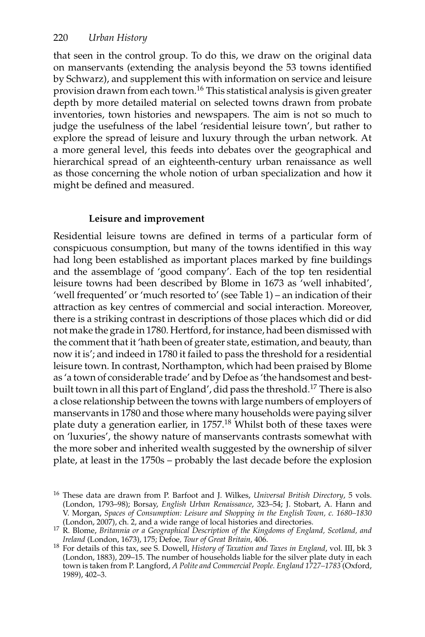that seen in the control group. To do this, we draw on the original data on manservants (extending the analysis beyond the 53 towns identified by Schwarz), and supplement this with information on service and leisure provision drawn from each town.<sup>16</sup> This statistical analysis is given greater depth by more detailed material on selected towns drawn from probate inventories, town histories and newspapers. The aim is not so much to judge the usefulness of the label 'residential leisure town', but rather to explore the spread of leisure and luxury through the urban network. At a more general level, this feeds into debates over the geographical and hierarchical spread of an eighteenth-century urban renaissance as well as those concerning the whole notion of urban specialization and how it might be defined and measured.

### **Leisure and improvement**

Residential leisure towns are defined in terms of a particular form of conspicuous consumption, but many of the towns identified in this way had long been established as important places marked by fine buildings and the assemblage of 'good company'. Each of the top ten residential leisure towns had been described by Blome in 1673 as 'well inhabited', 'well frequented' or 'much resorted to' (see Table 1) – an indication of their attraction as key centres of commercial and social interaction. Moreover, there is a striking contrast in descriptions of those places which did or did not make the grade in 1780. Hertford, for instance, had been dismissed with the comment that it 'hath been of greater state, estimation, and beauty, than now it is'; and indeed in 1780 it failed to pass the threshold for a residential leisure town. In contrast, Northampton, which had been praised by Blome as 'a town of considerable trade' and by Defoe as 'the handsomest and bestbuilt town in all this part of England', did pass the threshold.<sup>17</sup> There is also a close relationship between the towns with large numbers of employers of manservants in 1780 and those where many households were paying silver plate duty a generation earlier, in  $1757<sup>18</sup>$  Whilst both of these taxes were on 'luxuries', the showy nature of manservants contrasts somewhat with the more sober and inherited wealth suggested by the ownership of silver plate, at least in the 1750s – probably the last decade before the explosion

<sup>16</sup> These data are drawn from P. Barfoot and J. Wilkes, *Universal British Directory*, 5 vols. (London, 1793–98); Borsay, *English Urban Renaissance*, 323–54; J. Stobart, A. Hann and V. Morgan, *Spaces of Consumption: Leisure and Shopping in the English Town, c. 1680–1830* (London, 2007), ch. 2, and a wide range of local histories and directories. <sup>17</sup> R. Blome, *Britannia or a Geographical Description of the Kingdoms of England, Scotland, and*

*Ireland* (London, 1673), 175; Defoe, *Tour of Great Britain*, 406.<br><sup>18</sup> For details of this tax, see S. Dowell, *History of Taxation and Taxes in England*, vol. III, bk 3 (London, 1883), 209–15. The number of households liable for the silver plate duty in each town is taken from P. Langford, *A Polite and Commercial People. England 1727–1783* (Oxford, 1989), 402–3.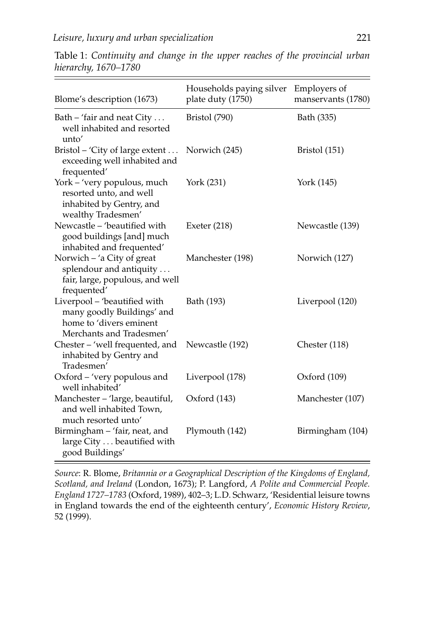| Blome's description (1673)                                                                                        | Households paying silver<br>plate duty (1750) | Employers of<br>manservants (1780) |
|-------------------------------------------------------------------------------------------------------------------|-----------------------------------------------|------------------------------------|
| Bath – 'fair and neat City<br>well inhabited and resorted<br>unto'                                                | Bristol (790)                                 | Bath (335)                         |
| Bristol – 'City of large extent<br>exceeding well inhabited and<br>frequented'                                    | Norwich (245)                                 | Bristol (151)                      |
| York - 'very populous, much<br>resorted unto, and well<br>inhabited by Gentry, and<br>wealthy Tradesmen'          | York (231)                                    | York (145)                         |
| Newcastle - 'beautified with<br>good buildings [and] much<br>inhabited and frequented'                            | Exeter $(218)$                                | Newcastle (139)                    |
| Norwich - 'a City of great<br>splendour and antiquity<br>fair, large, populous, and well<br>frequented'           | Manchester (198)                              | Norwich (127)                      |
| Liverpool - 'beautified with<br>many goodly Buildings' and<br>home to 'divers eminent<br>Merchants and Tradesmen' | Bath (193)                                    | Liverpool (120)                    |
| Chester - 'well frequented, and<br>inhabited by Gentry and<br>Tradesmen'                                          | Newcastle (192)                               | Chester (118)                      |
| Oxford - 'very populous and<br>well inhabited'                                                                    | Liverpool (178)                               | Oxford $(109)$                     |
| Manchester - 'large, beautiful,<br>and well inhabited Town,<br>much resorted unto'                                | Oxford $(143)$                                | Manchester (107)                   |
| Birmingham - 'fair, neat, and<br>large City beautified with<br>good Buildings'                                    | Plymouth (142)                                | Birmingham (104)                   |

Table 1: *Continuity and change in the upper reaches of the provincial urban hierarchy, 1670–1780*

*Source*: R. Blome, *Britannia or a Geographical Description of the Kingdoms of England, Scotland, and Ireland* (London, 1673); P. Langford, *A Polite and Commercial People. England 1727–1783* (Oxford, 1989), 402–3; L.D. Schwarz, 'Residential leisure towns in England towards the end of the eighteenth century', *Economic History Review*, 52 (1999).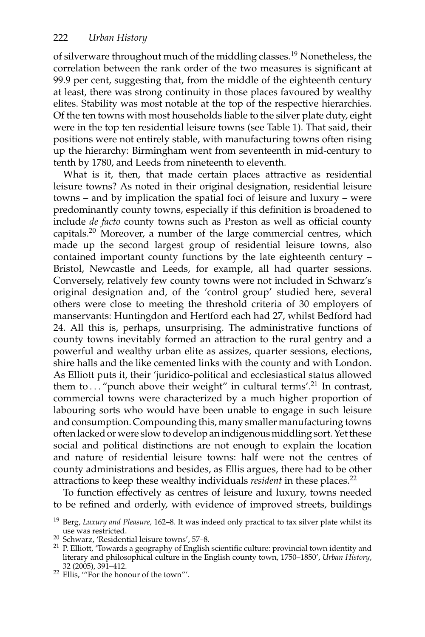of silverware throughout much of the middling classes.<sup>19</sup> Nonetheless, the correlation between the rank order of the two measures is significant at 99.9 per cent, suggesting that, from the middle of the eighteenth century at least, there was strong continuity in those places favoured by wealthy elites. Stability was most notable at the top of the respective hierarchies. Of the ten towns with most households liable to the silver plate duty, eight were in the top ten residential leisure towns (see Table 1). That said, their positions were not entirely stable, with manufacturing towns often rising up the hierarchy: Birmingham went from seventeenth in mid-century to tenth by 1780, and Leeds from nineteenth to eleventh.

What is it, then, that made certain places attractive as residential leisure towns? As noted in their original designation, residential leisure towns – and by implication the spatial foci of leisure and luxury – were predominantly county towns, especially if this definition is broadened to include *de facto* county towns such as Preston as well as official county capitals.20 Moreover, a number of the large commercial centres, which made up the second largest group of residential leisure towns, also contained important county functions by the late eighteenth century – Bristol, Newcastle and Leeds, for example, all had quarter sessions. Conversely, relatively few county towns were not included in Schwarz's original designation and, of the 'control group' studied here, several others were close to meeting the threshold criteria of 30 employers of manservants: Huntingdon and Hertford each had 27, whilst Bedford had 24. All this is, perhaps, unsurprising. The administrative functions of county towns inevitably formed an attraction to the rural gentry and a powerful and wealthy urban elite as assizes, quarter sessions, elections, shire halls and the like cemented links with the county and with London. As Elliott puts it, their 'juridico-political and ecclesiastical status allowed them to  $\ldots$  "punch above their weight" in cultural terms'.<sup>21</sup> In contrast, commercial towns were characterized by a much higher proportion of labouring sorts who would have been unable to engage in such leisure and consumption. Compounding this, many smaller manufacturing towns often lacked or were slow to develop an indigenous middling sort. Yet these social and political distinctions are not enough to explain the location and nature of residential leisure towns: half were not the centres of county administrations and besides, as Ellis argues, there had to be other attractions to keep these wealthy individuals *resident* in these places.<sup>22</sup>

To function effectively as centres of leisure and luxury, towns needed to be refined and orderly, with evidence of improved streets, buildings

<sup>19</sup> Berg, *Luxury and Pleasure,* 162–8. It was indeed only practical to tax silver plate whilst its

use was restricted.<br>20 Schwarz, 'Residential leisure towns', 57–8.<br><sup>21</sup> P. Elliott, 'Towards a geography of English scientific culture: provincial town identity and literary and philosophical culture in the English county town, 1750–1850', *Urban History*,

 $22$  Ellis, "For the honour of the town"'.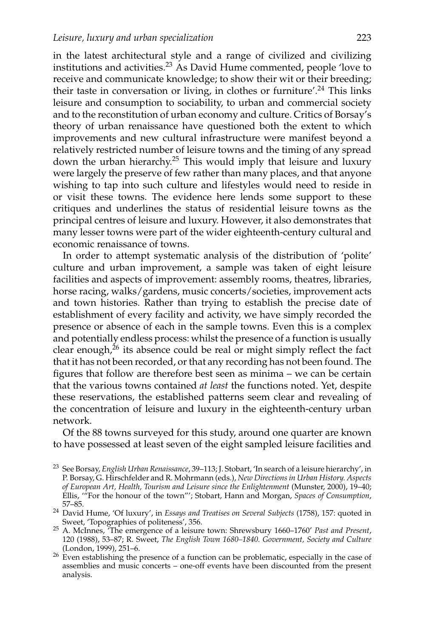in the latest architectural style and a range of civilized and civilizing institutions and activities.<sup>23</sup> As David Hume commented, people 'love to receive and communicate knowledge; to show their wit or their breeding; their taste in conversation or living, in clothes or furniture'.<sup>24</sup> This links leisure and consumption to sociability, to urban and commercial society and to the reconstitution of urban economy and culture. Critics of Borsay's theory of urban renaissance have questioned both the extent to which improvements and new cultural infrastructure were manifest beyond a relatively restricted number of leisure towns and the timing of any spread down the urban hierarchy.25 This would imply that leisure and luxury were largely the preserve of few rather than many places, and that anyone wishing to tap into such culture and lifestyles would need to reside in or visit these towns. The evidence here lends some support to these critiques and underlines the status of residential leisure towns as the principal centres of leisure and luxury. However, it also demonstrates that many lesser towns were part of the wider eighteenth-century cultural and economic renaissance of towns.

In order to attempt systematic analysis of the distribution of 'polite' culture and urban improvement, a sample was taken of eight leisure facilities and aspects of improvement: assembly rooms, theatres, libraries, horse racing, walks/gardens, music concerts/societies, improvement acts and town histories. Rather than trying to establish the precise date of establishment of every facility and activity, we have simply recorded the presence or absence of each in the sample towns. Even this is a complex and potentially endless process: whilst the presence of a function is usually clear enough, $26$  its absence could be real or might simply reflect the fact that it has not been recorded, or that any recording has not been found. The figures that follow are therefore best seen as minima – we can be certain that the various towns contained *at least* the functions noted. Yet, despite these reservations, the established patterns seem clear and revealing of the concentration of leisure and luxury in the eighteenth-century urban network.

Of the 88 towns surveyed for this study, around one quarter are known to have possessed at least seven of the eight sampled leisure facilities and

<sup>23</sup> See Borsay, *English Urban Renaissance*, 39–113; J. Stobart, 'In search of a leisure hierarchy', in P. Borsay, G. Hirschfelder and R. Mohrmann (eds.), *New Directions in Urban History. Aspects of European Art, Health, Tourism and Leisure since the Enlightenment* (Munster, 2000), 19–40; Ellis, '"For the honour of the town"'; Stobart, Hann and Morgan, *Spaces of Consumption*,

<sup>57–85.</sup> <sup>24</sup> David Hume, 'Of luxury', in *Essays and Treatises on Several Subjects* (1758), 157: quoted in Sweet, 'Topographies of politeness', 356. <sup>25</sup> A. McInnes, 'The emergence of a leisure town: Shrewsbury 1660–1760' *Past and Present*,

<sup>120 (1988), 53–87;</sup> R. Sweet, *The English Town 1680–1840. Government, Society and Culture*

 $26$  Even establishing the presence of a function can be problematic, especially in the case of assemblies and music concerts – one-off events have been discounted from the present analysis.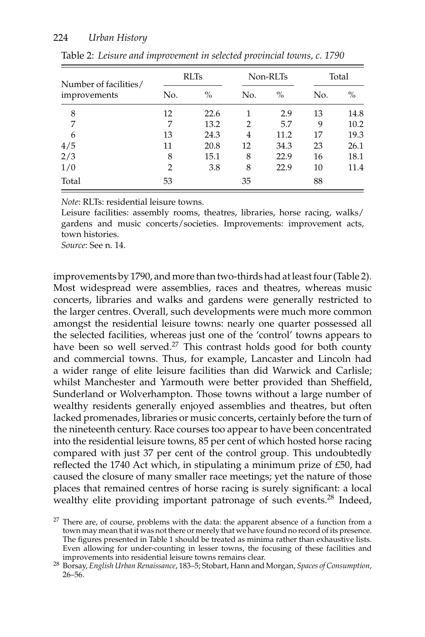| Number of facilities/ |     | <b>RLTs</b>   | Non-RLTs |               | Total |      |
|-----------------------|-----|---------------|----------|---------------|-------|------|
| improvements          | No. | $\frac{0}{0}$ | No.      | $\frac{0}{0}$ | No.   | $\%$ |
| 8                     | 12  | 22.6          |          | 2.9           | 13    | 14.8 |
| 7                     | 7   | 13.2          | 2        | 5.7           | 9     | 10.2 |
| 6                     | 13  | 24.3          | 4        | 11.2          | 17    | 19.3 |
| 4/5                   | 11  | 20.8          | 12       | 34.3          | 23    | 26.1 |
| 2/3                   | 8   | 15.1          | 8        | 22.9          | 16    | 18.1 |
| 1/0                   | 2   | 3.8           | 8        | 22.9          | 10    | 11.4 |
| Total                 | 53  |               | 35       |               | 88    |      |

Table 2: *Leisure and improvement in selected provincial towns, c. 1790*

*Note*: RLTs: residential leisure towns.

Leisure facilities: assembly rooms, theatres, libraries, horse racing, walks/ gardens and music concerts/societies. Improvements: improvement acts, town histories.

*Source*: See n. 14.

improvements by 1790, and more than two-thirds had at least four (Table 2). Most widespread were assemblies, races and theatres, whereas music concerts, libraries and walks and gardens were generally restricted to the larger centres. Overall, such developments were much more common amongst the residential leisure towns: nearly one quarter possessed all the selected facilities, whereas just one of the 'control' towns appears to have been so well served.<sup>27</sup> This contrast holds good for both county and commercial towns. Thus, for example, Lancaster and Lincoln had a wider range of elite leisure facilities than did Warwick and Carlisle; whilst Manchester and Yarmouth were better provided than Sheffield, Sunderland or Wolverhampton. Those towns without a large number of wealthy residents generally enjoyed assemblies and theatres, but often lacked promenades, libraries or music concerts, certainly before the turn of the nineteenth century. Race courses too appear to have been concentrated into the residential leisure towns, 85 per cent of which hosted horse racing compared with just 37 per cent of the control group. This undoubtedly reflected the 1740 Act which, in stipulating a minimum prize of £50, had caused the closure of many smaller race meetings; yet the nature of those places that remained centres of horse racing is surely significant: a local wealthy elite providing important patronage of such events.<sup>28</sup> Indeed,

 $27$  There are, of course, problems with the data: the apparent absence of a function from a town may mean that it was not there or merely that we have found no record of its presence. The figures presented in Table 1 should be treated as minima rather than exhaustive lists. Even allowing for under-counting in lesser towns, the focusing of these facilities and

<sup>&</sup>lt;sup>28</sup> Borsay, English Urban Renaissance, 183–5; Stobart, Hann and Morgan, Spaces of Consumption, 26–56.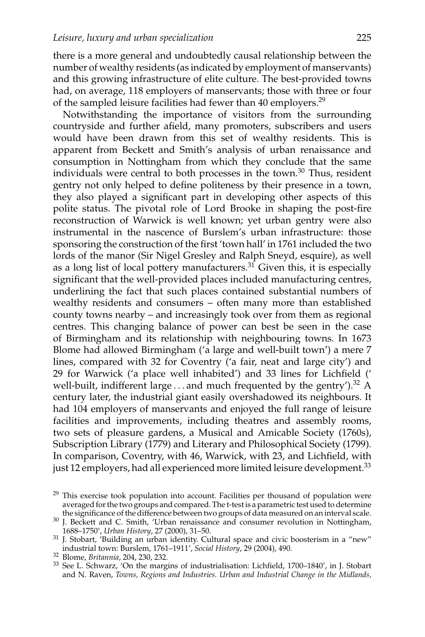there is a more general and undoubtedly causal relationship between the number of wealthy residents (as indicated by employment of manservants) and this growing infrastructure of elite culture. The best-provided towns had, on average, 118 employers of manservants; those with three or four of the sampled leisure facilities had fewer than 40 employers.<sup>29</sup>

Notwithstanding the importance of visitors from the surrounding countryside and further afield, many promoters, subscribers and users would have been drawn from this set of wealthy residents. This is apparent from Beckett and Smith's analysis of urban renaissance and consumption in Nottingham from which they conclude that the same individuals were central to both processes in the town.<sup>30</sup> Thus, resident gentry not only helped to define politeness by their presence in a town, they also played a significant part in developing other aspects of this polite status. The pivotal role of Lord Brooke in shaping the post-fire reconstruction of Warwick is well known; yet urban gentry were also instrumental in the nascence of Burslem's urban infrastructure: those sponsoring the construction of the first 'town hall' in 1761 included the two lords of the manor (Sir Nigel Gresley and Ralph Sneyd, esquire), as well as a long list of local pottery manufacturers.<sup>31</sup> Given this, it is especially significant that the well-provided places included manufacturing centres, underlining the fact that such places contained substantial numbers of wealthy residents and consumers – often many more than established county towns nearby – and increasingly took over from them as regional centres. This changing balance of power can best be seen in the case of Birmingham and its relationship with neighbouring towns. In 1673 Blome had allowed Birmingham ('a large and well-built town') a mere 7 lines, compared with 32 for Coventry ('a fair, neat and large city') and 29 for Warwick ('a place well inhabited') and 33 lines for Lichfield (' well-built, indifferent large  $\dots$  and much frequented by the gentry').<sup>32</sup> A century later, the industrial giant easily overshadowed its neighbours. It had 104 employers of manservants and enjoyed the full range of leisure facilities and improvements, including theatres and assembly rooms, two sets of pleasure gardens, a Musical and Amicable Society (1760s), Subscription Library (1779) and Literary and Philosophical Society (1799). In comparison, Coventry, with 46, Warwick, with 23, and Lichfield, with just 12 employers, had all experienced more limited leisure development.<sup>33</sup>

 $29$  This exercise took population into account. Facilities per thousand of population were averaged for the two groups and compared. The t-test is a parametric test used to determine the significance of the difference between two groups of data measured on an interval scale.

<sup>30</sup> J. Beckett and C. Smith, 'Urban renaissance and consumer revolution in Nottingham, 1688–1750', Urban History, 27 (2000), 31–50.

<sup>&</sup>lt;sup>31</sup> J. Stobart, 'Building an urban identity. Cultural space and civic boosterism in a "new" industrial town: Burslem, 1761–1911', *Social History*, 29 (2004), 490.

<sup>&</sup>lt;sup>32</sup> Blome, *Britannia*, 204, 230, 232.<br><sup>33</sup> See L. Schwarz, 'On the margins of industrialisation: Lichfield, 1700–1840', in J. Stobart and N. Raven, *Towns, Regions and Industries. Urban and Industrial Change in the Midlands,*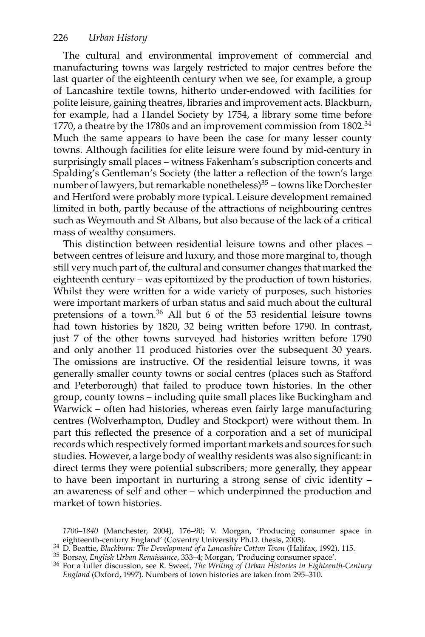The cultural and environmental improvement of commercial and manufacturing towns was largely restricted to major centres before the last quarter of the eighteenth century when we see, for example, a group of Lancashire textile towns, hitherto under-endowed with facilities for polite leisure, gaining theatres, libraries and improvement acts. Blackburn, for example, had a Handel Society by 1754, a library some time before 1770, a theatre by the 1780s and an improvement commission from 1802.<sup>34</sup> Much the same appears to have been the case for many lesser county towns. Although facilities for elite leisure were found by mid-century in surprisingly small places – witness Fakenham's subscription concerts and Spalding's Gentleman's Society (the latter a reflection of the town's large number of lawyers, but remarkable nonetheless)<sup>35</sup> – towns like Dorchester and Hertford were probably more typical. Leisure development remained limited in both, partly because of the attractions of neighbouring centres such as Weymouth and St Albans, but also because of the lack of a critical mass of wealthy consumers.

This distinction between residential leisure towns and other places – between centres of leisure and luxury, and those more marginal to, though still very much part of, the cultural and consumer changes that marked the eighteenth century – was epitomized by the production of town histories. Whilst they were written for a wide variety of purposes, such histories were important markers of urban status and said much about the cultural pretensions of a town.36 All but 6 of the 53 residential leisure towns had town histories by 1820, 32 being written before 1790. In contrast, just 7 of the other towns surveyed had histories written before 1790 and only another 11 produced histories over the subsequent 30 years. The omissions are instructive. Of the residential leisure towns, it was generally smaller county towns or social centres (places such as Stafford and Peterborough) that failed to produce town histories. In the other group, county towns – including quite small places like Buckingham and Warwick – often had histories, whereas even fairly large manufacturing centres (Wolverhampton, Dudley and Stockport) were without them. In part this reflected the presence of a corporation and a set of municipal records which respectively formed important markets and sources for such studies. However, a large body of wealthy residents was also significant: in direct terms they were potential subscribers; more generally, they appear to have been important in nurturing a strong sense of civic identity – an awareness of self and other – which underpinned the production and market of town histories.

*<sup>1700–1840</sup>* (Manchester, 2004), 176–90; V. Morgan, 'Producing consumer space in

<sup>34</sup> D. Beattie, Blackburn: The Development of a Lancashire Cotton Town (Halifax, 1992), 115.<br><sup>35</sup> Borsay, English Urban Renaissance, 333–4; Morgan, 'Producing consumer space'.<br><sup>36</sup> For a fuller discussion, see R. Sweet, *Th England* (Oxford, 1997). Numbers of town histories are taken from 295–310.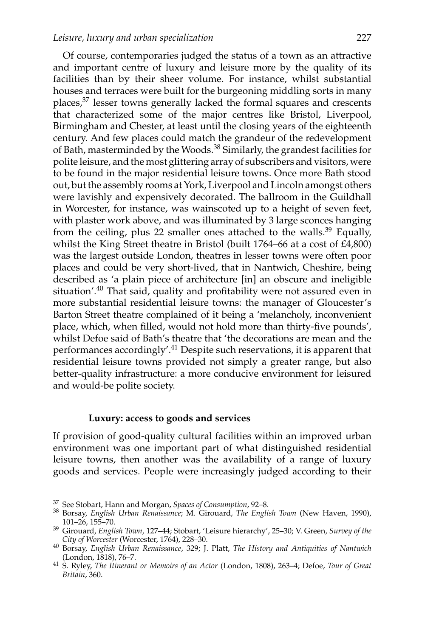Of course, contemporaries judged the status of a town as an attractive and important centre of luxury and leisure more by the quality of its facilities than by their sheer volume. For instance, whilst substantial houses and terraces were built for the burgeoning middling sorts in many places,<sup>37</sup> lesser towns generally lacked the formal squares and crescents that characterized some of the major centres like Bristol, Liverpool, Birmingham and Chester, at least until the closing years of the eighteenth century. And few places could match the grandeur of the redevelopment of Bath, masterminded by the Woods.<sup>38</sup> Similarly, the grandest facilities for polite leisure, and the most glittering array of subscribers and visitors, were to be found in the major residential leisure towns. Once more Bath stood out, but the assembly rooms at York, Liverpool and Lincoln amongst others were lavishly and expensively decorated. The ballroom in the Guildhall in Worcester, for instance, was wainscoted up to a height of seven feet, with plaster work above, and was illuminated by 3 large sconces hanging from the ceiling, plus 22 smaller ones attached to the walls.<sup>39</sup> Equally, whilst the King Street theatre in Bristol (built 1764–66 at a cost of £4,800) was the largest outside London, theatres in lesser towns were often poor places and could be very short-lived, that in Nantwich, Cheshire, being described as 'a plain piece of architecture [in] an obscure and ineligible situation'.<sup>40</sup> That said, quality and profitability were not assured even in more substantial residential leisure towns: the manager of Gloucester's Barton Street theatre complained of it being a 'melancholy, inconvenient place, which, when filled, would not hold more than thirty-five pounds', whilst Defoe said of Bath's theatre that 'the decorations are mean and the performances accordingly'.41 Despite such reservations, it is apparent that residential leisure towns provided not simply a greater range, but also better-quality infrastructure: a more conducive environment for leisured and would-be polite society.

#### **Luxury: access to goods and services**

If provision of good-quality cultural facilities within an improved urban environment was one important part of what distinguished residential leisure towns, then another was the availability of a range of luxury goods and services. People were increasingly judged according to their

<sup>37</sup> See Stobart, Hann and Morgan, *Spaces of Consumption*, 92–8. <sup>38</sup> Borsay, *English Urban Renaissance*; M. Girouard, *The English Town* (New Haven, 1990),

<sup>&</sup>lt;sup>39</sup> Girouard, *English Town*, 127–44; Stobart, 'Leisure hierarchy', 25–30; V. Green, *Survey of the* City of Worcester (Worcester, 1764), 228–30.

*City of Worcester* (Worcester, 1764), 228–30. <sup>40</sup> Borsay, *English Urban Renaissance*, 329; J. Platt, *The History and Antiquities of Nantwich*

<sup>(</sup>London, 1818), 76–7. <sup>41</sup> S. Ryley, *The Itinerant or Memoirs of an Actor* (London, 1808), 263–4; Defoe, *Tour of Great Britain*, 360.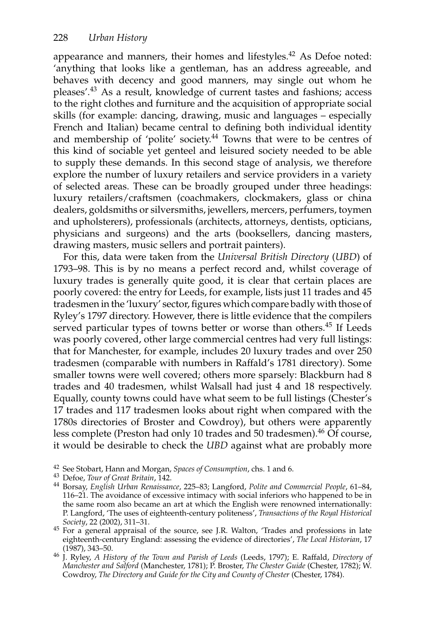appearance and manners, their homes and lifestyles.<sup>42</sup> As Defoe noted: 'anything that looks like a gentleman, has an address agreeable, and behaves with decency and good manners, may single out whom he pleases'.<sup>43</sup> As a result, knowledge of current tastes and fashions; access to the right clothes and furniture and the acquisition of appropriate social skills (for example: dancing, drawing, music and languages – especially French and Italian) became central to defining both individual identity and membership of 'polite' society.44 Towns that were to be centres of this kind of sociable yet genteel and leisured society needed to be able to supply these demands. In this second stage of analysis, we therefore explore the number of luxury retailers and service providers in a variety of selected areas. These can be broadly grouped under three headings: luxury retailers/craftsmen (coachmakers, clockmakers, glass or china dealers, goldsmiths or silversmiths, jewellers, mercers, perfumers, toymen and upholsterers), professionals (architects, attorneys, dentists, opticians, physicians and surgeons) and the arts (booksellers, dancing masters, drawing masters, music sellers and portrait painters).

For this, data were taken from the *Universal British Directory* (*UBD*) of 1793–98. This is by no means a perfect record and, whilst coverage of luxury trades is generally quite good, it is clear that certain places are poorly covered: the entry for Leeds, for example, lists just 11 trades and 45 tradesmen in the 'luxury' sector, figures which compare badly with those of Ryley's 1797 directory. However, there is little evidence that the compilers served particular types of towns better or worse than others.<sup>45</sup> If Leeds was poorly covered, other large commercial centres had very full listings: that for Manchester, for example, includes 20 luxury trades and over 250 tradesmen (comparable with numbers in Raffald's 1781 directory). Some smaller towns were well covered; others more sparsely: Blackburn had 8 trades and 40 tradesmen, whilst Walsall had just 4 and 18 respectively. Equally, county towns could have what seem to be full listings (Chester's 17 trades and 117 tradesmen looks about right when compared with the 1780s directories of Broster and Cowdroy), but others were apparently less complete (Preston had only 10 trades and 50 tradesmen).<sup>46</sup> Of course, it would be desirable to check the *UBD* against what are probably more

<sup>&</sup>lt;sup>42</sup> See Stobart, Hann and Morgan, *Spaces of Consumption*, chs. 1 and 6.<br><sup>43</sup> Defoe, *Tour of Great Britain*, 142.<br><sup>44</sup> Borsay, *English Urban Renaissance*, 225–83; Langford, *Polite and Commercial People*, 61–84, 116–21. The avoidance of excessive intimacy with social inferiors who happened to be in the same room also became an art at which the English were renowned internationally: P. Langford, 'The uses of eighteenth-century politeness', *Transactions of the Royal Historical*

<sup>&</sup>lt;sup>45</sup> For a general appraisal of the source, see J.R. Walton, 'Trades and professions in late eighteenth-century England: assessing the evidence of directories', *The Local Historian*, 17 (1987), 343–50. <sup>46</sup> J. Ryley, *A History of the Town and Parish of Leeds* (Leeds, 1797); E. Raffald, *Directory of*

*Manchester and Salford* (Manchester, 1781); P. Broster, *The Chester Guide* (Chester, 1782); W. Cowdroy, *The Directory and Guide for the City and County of Chester* (Chester, 1784).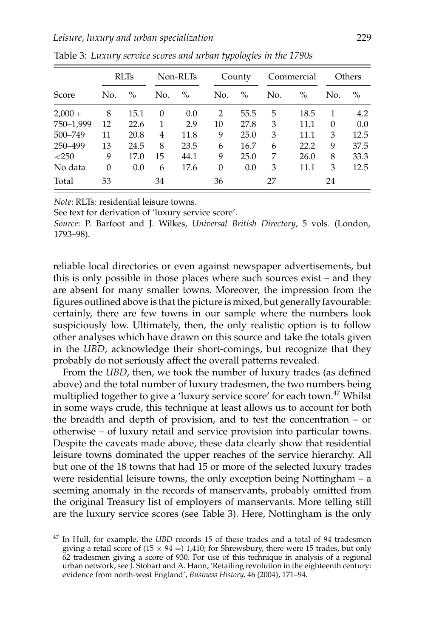|           |     | <b>RLTs</b>   |     | Non-RLTs |                | County        |     | Commercial |          | Others |
|-----------|-----|---------------|-----|----------|----------------|---------------|-----|------------|----------|--------|
| Score     | No. | $\frac{0}{0}$ | No. | $\%$     | No.            | $\frac{0}{0}$ | No. | $\%$       | No.      | $\%$   |
| $2,000 +$ | 8   | 15.1          | 0   | 0.0      | $\overline{2}$ | 55.5          | 5   | 18.5       | 1        | 4.2    |
| 750-1,999 | 12  | 22.6          | 1   | 2.9      | 10             | 27.8          | 3   | 11.1       | $\Omega$ | 0.0    |
| 500-749   | 11  | 20.8          | 4   | 11.8     | 9              | 25.0          | 3   | 11.1       | 3        | 12.5   |
| 250-499   | 13  | 24.5          | 8   | 23.5     | 6              | 16.7          | 6   | 22.2       | 9        | 37.5   |
| < 250     | 9   | 17.0          | 15  | 44.1     | 9              | 25.0          | 7   | 26.0       | 8        | 33.3   |
| No data   | 0   | 0.0           | 6   | 17.6     | $\theta$       | 0.0           | 3   | 11.1       | 3        | 12.5   |
| Total     | 53  |               | 34  |          | 36             |               | 27  |            | 24       |        |

Table 3: *Luxury service scores and urban typologies in the 1790s*

*Note*: RLTs: residential leisure towns.

See text for derivation of 'luxury service score'.

*Source*: P. Barfoot and J. Wilkes, *Universal British Directory*, 5 vols. (London, 1793–98).

reliable local directories or even against newspaper advertisements, but this is only possible in those places where such sources exist – and they are absent for many smaller towns. Moreover, the impression from the figures outlined above is that the picture is mixed, but generally favourable: certainly, there are few towns in our sample where the numbers look suspiciously low. Ultimately, then, the only realistic option is to follow other analyses which have drawn on this source and take the totals given in the *UBD*, acknowledge their short-comings, but recognize that they probably do not seriously affect the overall patterns revealed.

From the *UBD*, then, we took the number of luxury trades (as defined above) and the total number of luxury tradesmen, the two numbers being multiplied together to give a 'luxury service score' for each town.<sup>47</sup> Whilst in some ways crude, this technique at least allows us to account for both the breadth and depth of provision, and to test the concentration – or otherwise – of luxury retail and service provision into particular towns. Despite the caveats made above, these data clearly show that residential leisure towns dominated the upper reaches of the service hierarchy. All but one of the 18 towns that had 15 or more of the selected luxury trades were residential leisure towns, the only exception being Nottingham – a seeming anomaly in the records of manservants, probably omitted from the original Treasury list of employers of manservants. More telling still are the luxury service scores (see Table 3). Here, Nottingham is the only

<sup>47</sup> In Hull, for example, the *UBD* records 15 of these trades and a total of 94 tradesmen giving a retail score of  $(15 \times 94 = 1,410)$ ; for Shrewsbury, there were 15 trades, but only 62 tradesmen giving a score of 930. For use of this technique in analysis of a regional urban network, see J. Stobart and A. Hann, 'Retailing revolution in the eighteenth century: evidence from north-west England', *Business History,* 46 (2004), 171–94.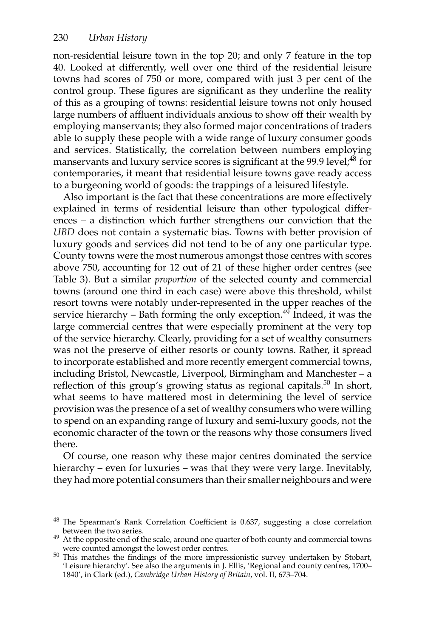non-residential leisure town in the top 20; and only 7 feature in the top 40. Looked at differently, well over one third of the residential leisure towns had scores of 750 or more, compared with just 3 per cent of the control group. These figures are significant as they underline the reality of this as a grouping of towns: residential leisure towns not only housed large numbers of affluent individuals anxious to show off their wealth by employing manservants; they also formed major concentrations of traders able to supply these people with a wide range of luxury consumer goods and services. Statistically, the correlation between numbers employing manservants and luxury service scores is significant at the 99.9 level;<sup>48</sup> for contemporaries, it meant that residential leisure towns gave ready access to a burgeoning world of goods: the trappings of a leisured lifestyle.

Also important is the fact that these concentrations are more effectively explained in terms of residential leisure than other typological differences – a distinction which further strengthens our conviction that the *UBD* does not contain a systematic bias. Towns with better provision of luxury goods and services did not tend to be of any one particular type. County towns were the most numerous amongst those centres with scores above 750, accounting for 12 out of 21 of these higher order centres (see Table 3). But a similar *proportion* of the selected county and commercial towns (around one third in each case) were above this threshold, whilst resort towns were notably under-represented in the upper reaches of the service hierarchy – Bath forming the only exception.<sup>49</sup> Indeed, it was the large commercial centres that were especially prominent at the very top of the service hierarchy. Clearly, providing for a set of wealthy consumers was not the preserve of either resorts or county towns. Rather, it spread to incorporate established and more recently emergent commercial towns, including Bristol, Newcastle, Liverpool, Birmingham and Manchester – a reflection of this group's growing status as regional capitals.<sup>50</sup> In short, what seems to have mattered most in determining the level of service provision was the presence of a set of wealthy consumers who were willing to spend on an expanding range of luxury and semi-luxury goods, not the economic character of the town or the reasons why those consumers lived there.

Of course, one reason why these major centres dominated the service hierarchy – even for luxuries – was that they were very large. Inevitably, they had more potential consumers than their smaller neighbours and were

<sup>48</sup> The Spearman's Rank Correlation Coefficient is 0.637, suggesting a close correlation

<sup>&</sup>lt;sup>49</sup> At the opposite end of the scale, around one quarter of both county and commercial towns were counted amongst the lowest order centres.

 $50$  This matches the findings of the more impressionistic survey undertaken by Stobart, 'Leisure hierarchy'. See also the arguments in J. Ellis, 'Regional and county centres, 1700– 1840', in Clark (ed.), *Cambridge Urban History of Britain*, vol. II, 673–704.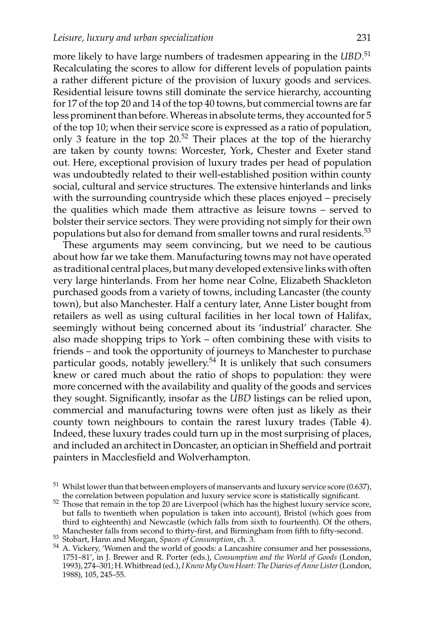more likely to have large numbers of tradesmen appearing in the *UBD*. 51 Recalculating the scores to allow for different levels of population paints a rather different picture of the provision of luxury goods and services. Residential leisure towns still dominate the service hierarchy, accounting for 17 of the top 20 and 14 of the top 40 towns, but commercial towns are far less prominent than before. Whereas in absolute terms, they accounted for 5 of the top 10; when their service score is expressed as a ratio of population, only 3 feature in the top 20.52 Their places at the top of the hierarchy are taken by county towns: Worcester, York, Chester and Exeter stand out. Here, exceptional provision of luxury trades per head of population was undoubtedly related to their well-established position within county social, cultural and service structures. The extensive hinterlands and links with the surrounding countryside which these places enjoyed – precisely the qualities which made them attractive as leisure towns – served to bolster their service sectors. They were providing not simply for their own populations but also for demand from smaller towns and rural residents.<sup>53</sup>

These arguments may seem convincing, but we need to be cautious about how far we take them. Manufacturing towns may not have operated as traditional central places, but many developed extensive links with often very large hinterlands. From her home near Colne, Elizabeth Shackleton purchased goods from a variety of towns, including Lancaster (the county town), but also Manchester. Half a century later, Anne Lister bought from retailers as well as using cultural facilities in her local town of Halifax, seemingly without being concerned about its 'industrial' character. She also made shopping trips to York – often combining these with visits to friends – and took the opportunity of journeys to Manchester to purchase particular goods, notably jewellery. $54$  It is unlikely that such consumers knew or cared much about the ratio of shops to population: they were more concerned with the availability and quality of the goods and services they sought. Significantly, insofar as the *UBD* listings can be relied upon, commercial and manufacturing towns were often just as likely as their county town neighbours to contain the rarest luxury trades (Table 4). Indeed, these luxury trades could turn up in the most surprising of places, and included an architect in Doncaster, an optician in Sheffield and portrait painters in Macclesfield and Wolverhampton.

<sup>&</sup>lt;sup>51</sup> Whilst lower than that between employers of manservants and luxury service score (0.637), the correlation between population and luxury service score is statistically significant.

 $52$  Those that remain in the top 20 are Liverpool (which has the highest luxury service score, but falls to twentieth when population is taken into account), Bristol (which goes from third to eighteenth) and Newcastle (which falls from sixth to fourteenth). Of the others, Manchester falls from second to thirty-first, and Birmingham from fifth to fifty-second.

 $53$  Stobart, Hann and Morgan, Spaces of Consumption, ch. 3.<br> $54$  A. Vickery, 'Women and the world of goods: a Lancashire consumer and her possessions, 1751–81', in J. Brewer and R. Porter (eds.), *Consumption and the World of Goods* (London, 1993), 274–301; H. Whitbread (ed.),*I KnowMy Own Heart: The Diaries of Anne Lister*(London, 1988), 105, 245–55.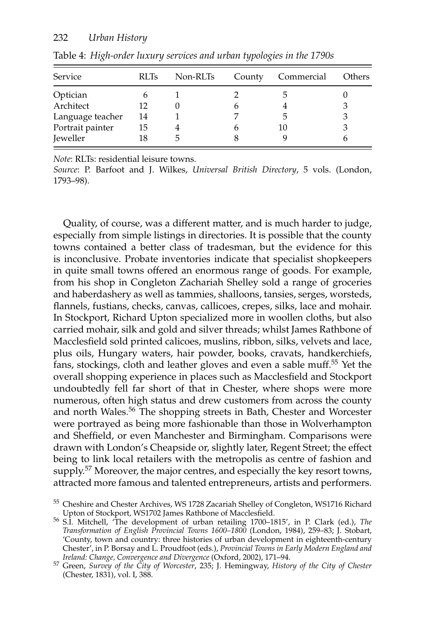| Service          | <b>RLTs</b> | Non-RLTs | County | Commercial | Others |
|------------------|-------------|----------|--------|------------|--------|
| Optician         |             |          |        |            |        |
| Architect        | 12          |          |        |            |        |
| Language teacher | 14          |          |        | 5          |        |
| Portrait painter | 15          |          |        | 10         |        |
| Jeweller         | 18          |          |        |            |        |

Table 4: *High-order luxury services and urban typologies in the 1790s*

*Note*: RLTs: residential leisure towns.

*Source*: P. Barfoot and J. Wilkes, *Universal British Directory*, 5 vols. (London, 1793–98).

Quality, of course, was a different matter, and is much harder to judge, especially from simple listings in directories. It is possible that the county towns contained a better class of tradesman, but the evidence for this is inconclusive. Probate inventories indicate that specialist shopkeepers in quite small towns offered an enormous range of goods. For example, from his shop in Congleton Zachariah Shelley sold a range of groceries and haberdashery as well as tammies, shalloons, tansies, serges, worsteds, flannels, fustians, checks, canvas, callicoes, crepes, silks, lace and mohair. In Stockport, Richard Upton specialized more in woollen cloths, but also carried mohair, silk and gold and silver threads; whilst James Rathbone of Macclesfield sold printed calicoes, muslins, ribbon, silks, velvets and lace, plus oils, Hungary waters, hair powder, books, cravats, handkerchiefs, fans, stockings, cloth and leather gloves and even a sable muff.55 Yet the overall shopping experience in places such as Macclesfield and Stockport undoubtedly fell far short of that in Chester, where shops were more numerous, often high status and drew customers from across the county and north Wales.<sup>56</sup> The shopping streets in Bath, Chester and Worcester were portrayed as being more fashionable than those in Wolverhampton and Sheffield, or even Manchester and Birmingham. Comparisons were drawn with London's Cheapside or, slightly later, Regent Street; the effect being to link local retailers with the metropolis as centre of fashion and supply.<sup>57</sup> Moreover, the major centres, and especially the key resort towns, attracted more famous and talented entrepreneurs, artists and performers.

<sup>&</sup>lt;sup>55</sup> Cheshire and Chester Archives, WS 1728 Zacariah Shelley of Congleton, WS1716 Richard Upton of Stockport, WS1702 James Rathbone of Macclesfield.

Upton of Stockport, WS1702 James Rathbone of Macclesfield. <sup>56</sup> S.I. Mitchell, 'The development of urban retailing 1700–1815', in P. Clark (ed.), *The Transformation of English Provincial Towns 1600–1800* (London, 1984), 259–83; J. Stobart, 'County, town and country: three histories of urban development in eighteenth-century Chester', in P. Borsay and L. Proudfoot (eds.), *Provincial Towns in Early Modern England and*

<sup>&</sup>lt;sup>57</sup> Green, *Survey of the City of Worcester*, 235; J. Hemingway, *History of the City of Chester* (Chester, 1831), vol. I, 388.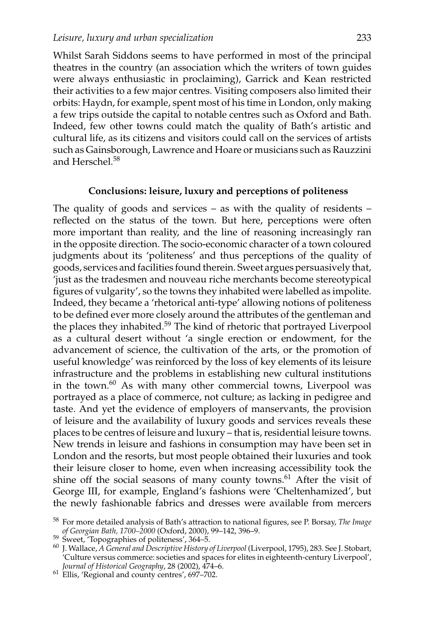Whilst Sarah Siddons seems to have performed in most of the principal theatres in the country (an association which the writers of town guides were always enthusiastic in proclaiming), Garrick and Kean restricted their activities to a few major centres. Visiting composers also limited their orbits: Haydn, for example, spent most of his time in London, only making a few trips outside the capital to notable centres such as Oxford and Bath. Indeed, few other towns could match the quality of Bath's artistic and cultural life, as its citizens and visitors could call on the services of artists such as Gainsborough, Lawrence and Hoare or musicians such as Rauzzini and Herschel.58

### **Conclusions: leisure, luxury and perceptions of politeness**

The quality of goods and services – as with the quality of residents – reflected on the status of the town. But here, perceptions were often more important than reality, and the line of reasoning increasingly ran in the opposite direction. The socio-economic character of a town coloured judgments about its 'politeness' and thus perceptions of the quality of goods, services and facilities found therein. Sweet argues persuasively that, 'just as the tradesmen and nouveau riche merchants become stereotypical figures of vulgarity', so the towns they inhabited were labelled as impolite. Indeed, they became a 'rhetorical anti-type' allowing notions of politeness to be defined ever more closely around the attributes of the gentleman and the places they inhabited.<sup>59</sup> The kind of rhetoric that portrayed Liverpool as a cultural desert without 'a single erection or endowment, for the advancement of science, the cultivation of the arts, or the promotion of useful knowledge' was reinforced by the loss of key elements of its leisure infrastructure and the problems in establishing new cultural institutions in the town. $60$  As with many other commercial towns, Liverpool was portrayed as a place of commerce, not culture; as lacking in pedigree and taste. And yet the evidence of employers of manservants, the provision of leisure and the availability of luxury goods and services reveals these places to be centres of leisure and luxury – that is, residential leisure towns. New trends in leisure and fashions in consumption may have been set in London and the resorts, but most people obtained their luxuries and took their leisure closer to home, even when increasing accessibility took the shine off the social seasons of many county towns.<sup>61</sup> After the visit of George III, for example, England's fashions were 'Cheltenhamized', but the newly fashionable fabrics and dresses were available from mercers

<sup>&</sup>lt;sup>58</sup> For more detailed analysis of Bath's attraction to national figures, see P. Borsay, *The Image* of *Georgian Bath*, 1700–2000 (Oxford, 2000), 99–142, 396–9.<br><sup>59</sup> Sweet, 'Topographies of politeness', 364–5.

*of Georgian Bath, 1700–2000* (Oxford, 2000), 99–142, 396–9. <sup>59</sup> Sweet, 'Topographies of politeness', 364–5. <sup>60</sup> J. Wallace, *A General and Descriptive History of Liverpool* (Liverpool, 1795), 283. See J. Stobart, 'Culture versus commerce: societies and spaces for elites in eighteenth-century Liverpool', *Journal of Historical Geography*, 28 (2002), 474–6. <sup>61</sup> Ellis, 'Regional and county centres', 697–702.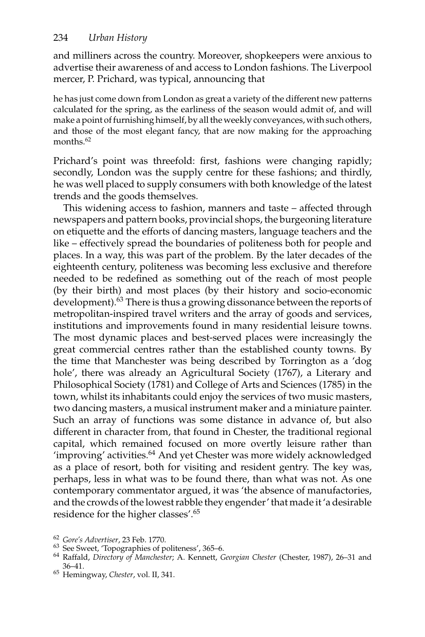and milliners across the country. Moreover, shopkeepers were anxious to advertise their awareness of and access to London fashions. The Liverpool mercer, P. Prichard, was typical, announcing that

he has just come down from London as great a variety of the different new patterns calculated for the spring, as the earliness of the season would admit of, and will make a point of furnishing himself, by all the weekly conveyances, with such others, and those of the most elegant fancy, that are now making for the approaching months.<sup>62</sup>

Prichard's point was threefold: first, fashions were changing rapidly; secondly, London was the supply centre for these fashions; and thirdly, he was well placed to supply consumers with both knowledge of the latest trends and the goods themselves.

This widening access to fashion, manners and taste – affected through newspapers and pattern books, provincial shops, the burgeoning literature on etiquette and the efforts of dancing masters, language teachers and the like – effectively spread the boundaries of politeness both for people and places. In a way, this was part of the problem. By the later decades of the eighteenth century, politeness was becoming less exclusive and therefore needed to be redefined as something out of the reach of most people (by their birth) and most places (by their history and socio-economic development).<sup>63</sup> There is thus a growing dissonance between the reports of metropolitan-inspired travel writers and the array of goods and services, institutions and improvements found in many residential leisure towns. The most dynamic places and best-served places were increasingly the great commercial centres rather than the established county towns. By the time that Manchester was being described by Torrington as a 'dog hole', there was already an Agricultural Society (1767), a Literary and Philosophical Society (1781) and College of Arts and Sciences (1785) in the town, whilst its inhabitants could enjoy the services of two music masters, two dancing masters, a musical instrument maker and a miniature painter. Such an array of functions was some distance in advance of, but also different in character from, that found in Chester, the traditional regional capital, which remained focused on more overtly leisure rather than 'improving' activities.<sup>64</sup> And yet Chester was more widely acknowledged as a place of resort, both for visiting and resident gentry. The key was, perhaps, less in what was to be found there, than what was not. As one contemporary commentator argued, it was 'the absence of manufactories, and the crowds of the lowest rabble they engender' that made it 'a desirable residence for the higher classes'.65

<sup>62</sup> *Gore's Advertiser*, 23 Feb. 1770. <sup>63</sup> See Sweet, 'Topographies of politeness', 365–6. <sup>64</sup> Raffald, *Directory of Manchester*; A. Kennett, *Georgian Chester* (Chester, 1987), 26–31 and 36–41. <sup>65</sup> Hemingway, *Chester*, vol. II, 341.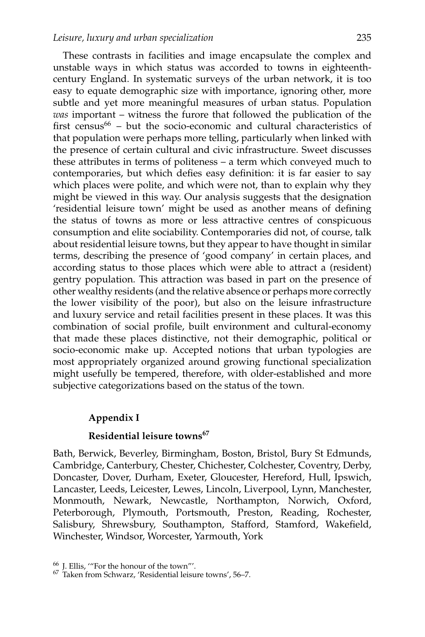These contrasts in facilities and image encapsulate the complex and unstable ways in which status was accorded to towns in eighteenthcentury England. In systematic surveys of the urban network, it is too easy to equate demographic size with importance, ignoring other, more subtle and yet more meaningful measures of urban status. Population *was* important – witness the furore that followed the publication of the first census<sup>66</sup> – but the socio-economic and cultural characteristics of that population were perhaps more telling, particularly when linked with the presence of certain cultural and civic infrastructure. Sweet discusses these attributes in terms of politeness – a term which conveyed much to contemporaries, but which defies easy definition: it is far easier to say which places were polite, and which were not, than to explain why they might be viewed in this way. Our analysis suggests that the designation 'residential leisure town' might be used as another means of defining the status of towns as more or less attractive centres of conspicuous consumption and elite sociability. Contemporaries did not, of course, talk about residential leisure towns, but they appear to have thought in similar terms, describing the presence of 'good company' in certain places, and according status to those places which were able to attract a (resident) gentry population. This attraction was based in part on the presence of other wealthy residents (and the relative absence or perhaps more correctly the lower visibility of the poor), but also on the leisure infrastructure and luxury service and retail facilities present in these places. It was this combination of social profile, built environment and cultural-economy that made these places distinctive, not their demographic, political or socio-economic make up. Accepted notions that urban typologies are most appropriately organized around growing functional specialization might usefully be tempered, therefore, with older-established and more subjective categorizations based on the status of the town.

### **Appendix I**

### **Residential leisure towns67**

Bath, Berwick, Beverley, Birmingham, Boston, Bristol, Bury St Edmunds, Cambridge, Canterbury, Chester, Chichester, Colchester, Coventry, Derby, Doncaster, Dover, Durham, Exeter, Gloucester, Hereford, Hull, Ipswich, Lancaster, Leeds, Leicester, Lewes, Lincoln, Liverpool, Lynn, Manchester, Monmouth, Newark, Newcastle, Northampton, Norwich, Oxford, Peterborough, Plymouth, Portsmouth, Preston, Reading, Rochester, Salisbury, Shrewsbury, Southampton, Stafford, Stamford, Wakefield, Winchester, Windsor, Worcester, Yarmouth, York

<sup>&</sup>lt;sup>66</sup> J. Ellis, "<sup>e</sup> For the honour of the town"'.<br><sup>67</sup> Taken from Schwarz, 'Residential leisure towns', 56–7.